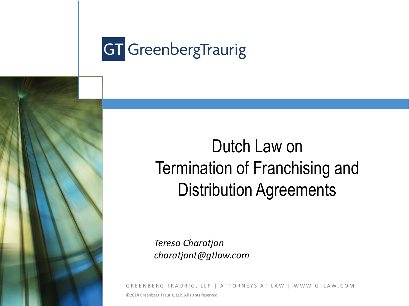

# Dutch Law on Termination of Franchising and Distribution Agreements

*Teresa Charatjan charatjant@gtlaw.com*

GREENBERG TRAURIG, LLP | ATTORNEYS AT LAW | WWW.GTLAW.COM ©2014 Greenberg Traurig, LLP. All rights reserved.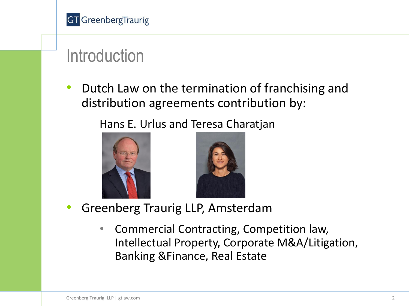

## **Introduction**

• Dutch Law on the termination of franchising and distribution agreements contribution by:

Hans E. Urlus and Teresa Charatjan





- Greenberg Traurig LLP, Amsterdam
	- Commercial Contracting, Competition law, Intellectual Property, Corporate M&A/Litigation, Banking &Finance, Real Estate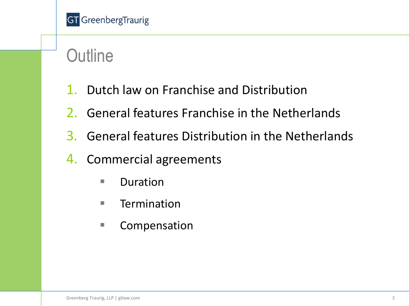# **Outline**

- 1. Dutch law on Franchise and Distribution
- 2. General features Franchise in the Netherlands
- 3. General features Distribution in the Netherlands
- 4. Commercial agreements
	- **Duration**
	- $\blacksquare$  Termination
	- Compensation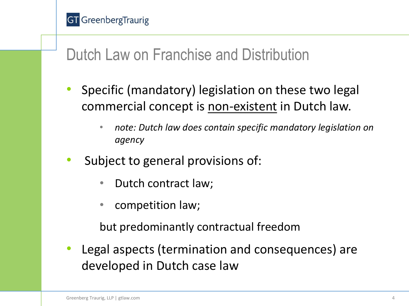#### Dutch Law on Franchise and Distribution

- Specific (mandatory) legislation on these two legal commercial concept is non-existent in Dutch law.
	- *note: Dutch law does contain specific mandatory legislation on agency*
- Subject to general provisions of:
	- Dutch contract law;
	- competition law;

but predominantly contractual freedom

• Legal aspects (termination and consequences) are developed in Dutch case law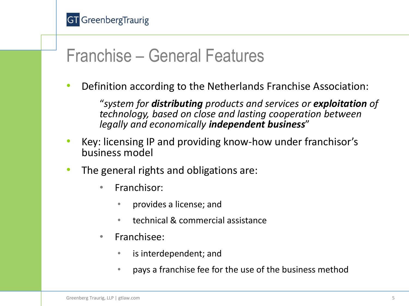

#### Franchise – General Features

• Definition according to the Netherlands Franchise Association:

"*system for distributing products and services or exploitation of technology, based on close and lasting cooperation between legally and economically independent business*"

- Key: licensing IP and providing know-how under franchisor's business model
- The general rights and obligations are:
	- Franchisor:
		- provides a license; and
		- technical & commercial assistance
	- Franchisee:
		- is interdependent; and
		- pays a franchise fee for the use of the business method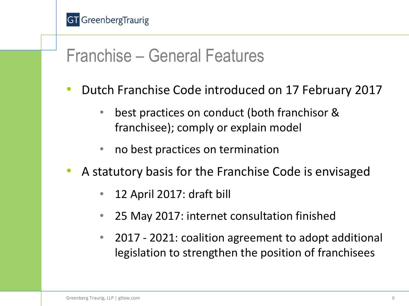#### Franchise – General Features

- Dutch Franchise Code introduced on 17 February 2017
	- best practices on conduct (both franchisor & franchisee); comply or explain model
	- no best practices on termination
- A statutory basis for the Franchise Code is envisaged
	- 12 April 2017: draft bill
	- 25 May 2017: internet consultation finished
	- 2017 2021: coalition agreement to adopt additional legislation to strengthen the position of franchisees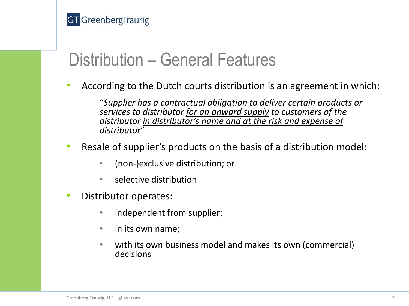

#### Distribution – General Features

• According to the Dutch courts distribution is an agreement in which:

"*Supplier has a contractual obligation to deliver certain products or services to distributor for an onward supply to customers of the distributor in distributor's name and at the risk and expense of distributor*"

- Resale of supplier's products on the basis of a distribution model:
	- (non-)exclusive distribution; or
	- selective distribution
- Distributor operates:
	- independent from supplier;
	- in its own name;
	- with its own business model and makes its own (commercial) decisions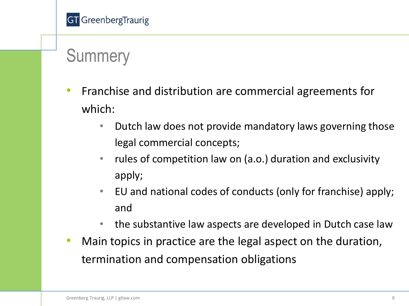# **Summery**

- Franchise and distribution are commercial agreements for which:
	- Dutch law does not provide mandatory laws governing those legal commercial concepts;
	- rules of competition law on (a.o.) duration and exclusivity apply;
	- EU and national codes of conducts (only for franchise) apply; and
	- the substantive law aspects are developed in Dutch case law
- Main topics in practice are the legal aspect on the duration, termination and compensation obligations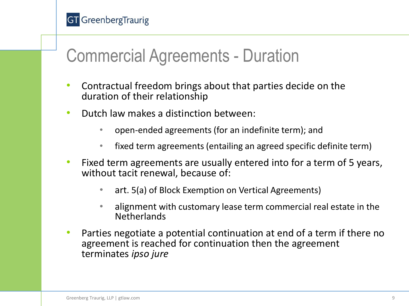

#### Commercial Agreements - Duration

- Contractual freedom brings about that parties decide on the duration of their relationship
- Dutch law makes a distinction between:
	- open-ended agreements (for an indefinite term); and
	- fixed term agreements (entailing an agreed specific definite term)
- Fixed term agreements are usually entered into for a term of 5 years, without tacit renewal, because of:
	- art. 5(a) of Block Exemption on Vertical Agreements)
	- alignment with customary lease term commercial real estate in the **Netherlands**
- Parties negotiate a potential continuation at end of a term if there no agreement is reached for continuation then the agreement terminates *ipso jure*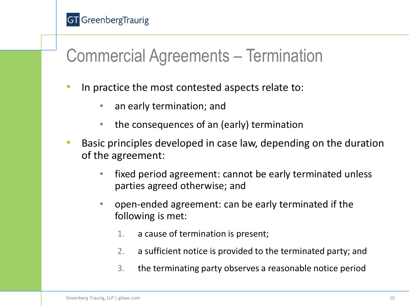

#### Commercial Agreements – Termination

- In practice the most contested aspects relate to:
	- an early termination; and
	- the consequences of an (early) termination
- Basic principles developed in case law, depending on the duration of the agreement:
	- fixed period agreement: cannot be early terminated unless parties agreed otherwise; and
	- open-ended agreement: can be early terminated if the following is met:
		- 1. a cause of termination is present;
		- 2. a sufficient notice is provided to the terminated party; and
		- 3. the terminating party observes a reasonable notice period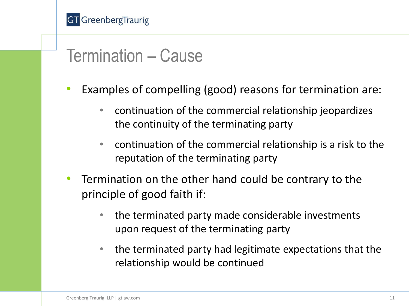

#### Termination – Cause

- Examples of compelling (good) reasons for termination are:
	- continuation of the commercial relationship jeopardizes the continuity of the terminating party
	- continuation of the commercial relationship is a risk to the reputation of the terminating party
- Termination on the other hand could be contrary to the principle of good faith if:
	- the terminated party made considerable investments upon request of the terminating party
	- the terminated party had legitimate expectations that the relationship would be continued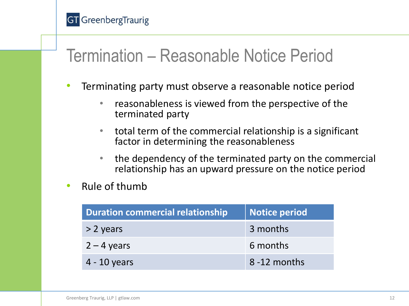

#### Termination – Reasonable Notice Period

- Terminating party must observe a reasonable notice period
	- reasonableness is viewed from the perspective of the terminated party
	- total term of the commercial relationship is a significant factor in determining the reasonableness
	- the dependency of the terminated party on the commercial relationship has an upward pressure on the notice period
- Rule of thumb

| <b>Duration commercial relationship</b> | <b>Notice period</b> |
|-----------------------------------------|----------------------|
| $> 2$ years                             | 3 months             |
| $2 - 4$ years                           | 6 months             |
| $4 - 10$ years                          | 8-12 months          |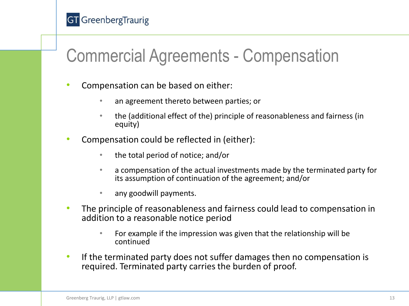

### Commercial Agreements - Compensation

- Compensation can be based on either:
	- an agreement thereto between parties; or
	- the (additional effect of the) principle of reasonableness and fairness (in equity)
- Compensation could be reflected in (either):
	- the total period of notice; and/or
	- a compensation of the actual investments made by the terminated party for its assumption of continuation of the agreement; and/or
	- any goodwill payments.
- The principle of reasonableness and fairness could lead to compensation in addition to a reasonable notice period
	- For example if the impression was given that the relationship will be continued
- If the terminated party does not suffer damages then no compensation is required. Terminated party carries the burden of proof.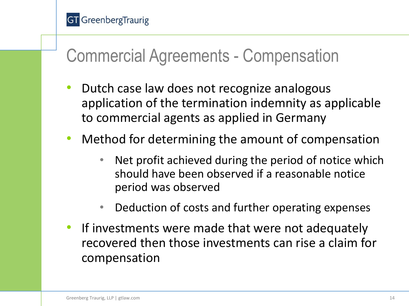

#### Commercial Agreements - Compensation

- Dutch case law does not recognize analogous application of the termination indemnity as applicable to commercial agents as applied in Germany
- Method for determining the amount of compensation
	- Net profit achieved during the period of notice which should have been observed if a reasonable notice period was observed
	- Deduction of costs and further operating expenses
- If investments were made that were not adequately recovered then those investments can rise a claim for compensation